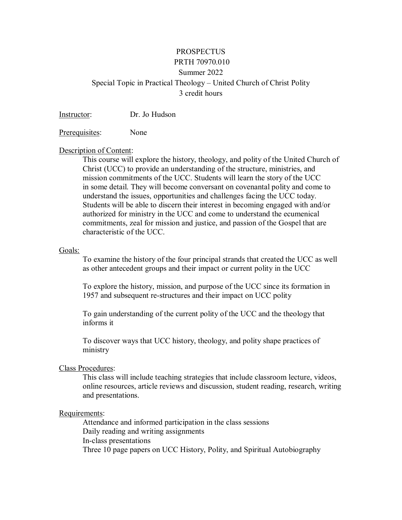# **PROSPECTUS** PRTH 70970.010 Summer 2022 Special Topic in Practical Theology – United Church of Christ Polity 3 credit hours

Instructor: Dr. Jo Hudson

Prerequisites: None

## Description of Content:

This course will explore the history, theology, and polity of the United Church of Christ (UCC) to provide an understanding of the structure, ministries, and mission commitments of the UCC. Students will learn the story of the UCC in some detail. They will become conversant on covenantal polity and come to understand the issues, opportunities and challenges facing the UCC today. Students will be able to discern their interest in becoming engaged with and/or authorized for ministry in the UCC and come to understand the ecumenical commitments, zeal for mission and justice, and passion of the Gospel that are characteristic of the UCC.

#### Goals:

To examine the history of the four principal strands that created the UCC as well as other antecedent groups and their impact or current polity in the UCC

To explore the history, mission, and purpose of the UCC since its formation in 1957 and subsequent re-structures and their impact on UCC polity

To gain understanding of the current polity of the UCC and the theology that informs it

To discover ways that UCC history, theology, and polity shape practices of ministry

## Class Procedures:

This class will include teaching strategies that include classroom lecture, videos, online resources, article reviews and discussion, student reading, research, writing and presentations.

#### Requirements:

Attendance and informed participation in the class sessions Daily reading and writing assignments In-class presentations Three 10 page papers on UCC History, Polity, and Spiritual Autobiography